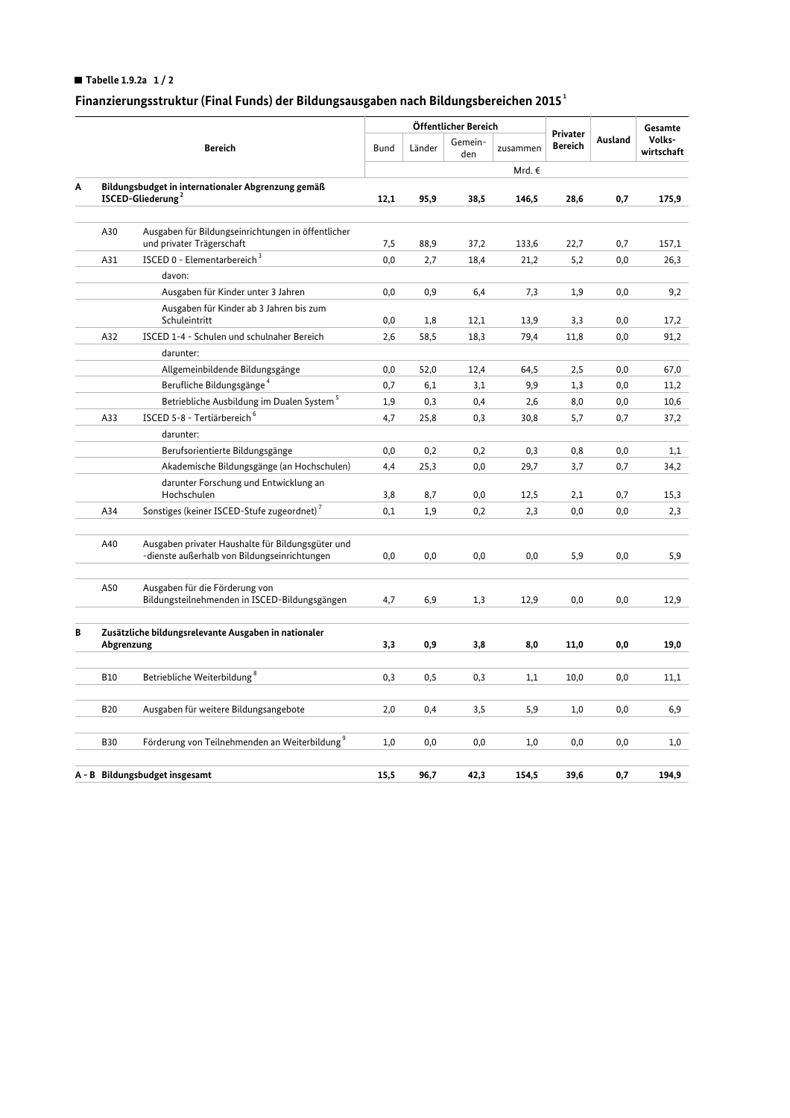## Tabelle 1.9.2a  $1/2$

# Finanzierungsstruktur (Final Funds) der Bildungsausgaben nach Bildungsbereichen 2015 $^{\rm 1}$

|   |                                                                                     |                                                                                                   |          | Öffentlicher Bereich |                |          |                            |         | Gesamte              |
|---|-------------------------------------------------------------------------------------|---------------------------------------------------------------------------------------------------|----------|----------------------|----------------|----------|----------------------------|---------|----------------------|
|   | <b>Bereich</b>                                                                      |                                                                                                   | Bund     | Länder               | Gemein-<br>den | zusammen | Privater<br><b>Bereich</b> | Ausland | Volks-<br>wirtschaft |
|   |                                                                                     |                                                                                                   |          |                      |                | Mrd. €   |                            |         |                      |
| Α | Bildungsbudget in internationaler Abgrenzung gemäß<br>ISCED-Gliederung <sup>2</sup> |                                                                                                   | 12,1     | 95,9                 | 38,5           | 146,5    | 28,6                       | 0,7     | 175,9                |
|   |                                                                                     |                                                                                                   |          |                      |                |          |                            |         |                      |
|   | A30                                                                                 | Ausgaben für Bildungseinrichtungen in öffentlicher<br>und privater Trägerschaft                   | 7,5      | 88,9                 | 37,2           | 133,6    | 22,7                       | 0,7     | 157,1                |
|   | A31                                                                                 | ISCED 0 - Elementarbereich <sup>3</sup>                                                           | 0,0      | 2,7                  | 18,4           | 21,2     | 5,2                        | 0,0     | 26,3                 |
|   |                                                                                     | davon:                                                                                            |          |                      |                |          |                            |         |                      |
|   |                                                                                     | Ausgaben für Kinder unter 3 Jahren                                                                | 0,0      | 0,9                  | 6,4            | 7,3      | 1,9                        | 0,0     | 9,2                  |
|   |                                                                                     | Ausgaben für Kinder ab 3 Jahren bis zum<br>Schuleintritt                                          | $_{0,0}$ | 1,8                  | 12,1           | 13,9     | 3,3                        | 0,0     | 17,2                 |
|   | A32                                                                                 | ISCED 1-4 - Schulen und schulnaher Bereich                                                        | 2,6      | 58,5                 | 18,3           | 79,4     | 11,8                       | 0,0     | 91,2                 |
|   |                                                                                     | darunter:                                                                                         |          |                      |                |          |                            |         |                      |
|   |                                                                                     | Allgemeinbildende Bildungsgänge                                                                   | 0,0      | 52,0                 | 12,4           | 64,5     | 2,5                        | 0,0     | 67,0                 |
|   |                                                                                     | Berufliche Bildungsgänge <sup>4</sup>                                                             | 0,7      | 6,1                  | 3,1            | 9,9      | 1,3                        | 0,0     | 11,2                 |
|   |                                                                                     | Betriebliche Ausbildung im Dualen System <sup>5</sup>                                             | 1,9      | 0,3                  | 0,4            | 2,6      | 8,0                        | 0,0     | 10,6                 |
|   | A33                                                                                 | ISCED 5-8 - Tertiärbereich <sup>6</sup>                                                           | 4,7      | 25,8                 | 0,3            | 30,8     | 5,7                        | 0,7     | 37,2                 |
|   |                                                                                     | darunter:                                                                                         |          |                      |                |          |                            |         |                      |
|   |                                                                                     | Berufsorientierte Bildungsgänge                                                                   | 0,0      | 0,2                  | 0,2            | 0,3      | 0,8                        | 0,0     | 1,1                  |
|   |                                                                                     | Akademische Bildungsgänge (an Hochschulen)                                                        | 4,4      | 25,3                 | 0,0            | 29,7     | 3,7                        | 0,7     | 34,2                 |
|   |                                                                                     | darunter Forschung und Entwicklung an                                                             |          |                      |                |          |                            |         |                      |
|   |                                                                                     | Hochschulen                                                                                       | 3,8      | 8,7                  | 0,0            | 12,5     | 2,1                        | 0,7     | 15,3                 |
|   | A34                                                                                 | Sonstiges (keiner ISCED-Stufe zugeordnet) <sup>7</sup>                                            | 0,1      | 1,9                  | 0,2            | 2,3      | 0,0                        | 0,0     | 2,3                  |
|   | A40                                                                                 | Ausgaben privater Haushalte für Bildungsgüter und<br>-dienste außerhalb von Bildungseinrichtungen | 0,0      | 0,0                  | 0,0            | 0,0      | 5,9                        | 0,0     | 5,9                  |
|   | A50                                                                                 | Ausgaben für die Förderung von<br>Bildungsteilnehmenden in ISCED-Bildungsgängen                   | 4,7      | 6,9                  | 1,3            | 12,9     | 0,0                        | 0,0     | 12,9                 |
| В | Zusätzliche bildungsrelevante Ausgaben in nationaler<br>Abgrenzung                  |                                                                                                   | 3,3      | 0,9                  | 3,8            | 8,0      | 11,0                       | 0,0     | 19,0                 |
|   |                                                                                     |                                                                                                   |          |                      |                |          |                            |         |                      |
|   | <b>B10</b>                                                                          | Betriebliche Weiterbildung <sup>8</sup>                                                           | 0,3      | 0, 5                 | 0,3            | 1,1      | 10,0                       | 0,0     | 11,1                 |
|   | <b>B20</b>                                                                          | Ausgaben für weitere Bildungsangebote                                                             | 2,0      | 0,4                  | 3,5            | 5,9      | 1,0                        | 0,0     | 6,9                  |
|   | <b>B30</b>                                                                          | Förderung von Teilnehmenden an Weiterbildung <sup>9</sup>                                         | 1,0      | 0,0                  | 0,0            | 1,0      | 0,0                        | 0,0     | 1,0                  |
|   |                                                                                     |                                                                                                   | 15,5     |                      |                |          |                            |         |                      |
|   | A - B Bildungsbudget insgesamt                                                      |                                                                                                   |          | 96,7                 | 42,3           | 154.5    | 39.6                       | 0,7     | 194,9                |